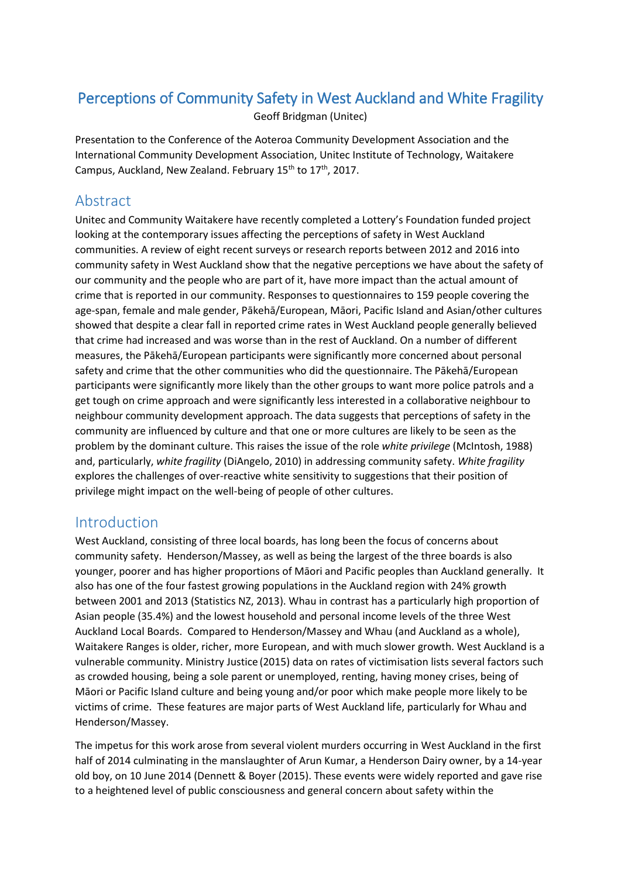# Perceptions of Community Safety in West Auckland and White Fragility

Geoff Bridgman (Unitec)

Presentation to the Conference of the Aoteroa Community Development Association and the International Community Development Association, Unitec Institute of Technology, Waitakere Campus, Auckland, New Zealand. February 15<sup>th</sup> to 17<sup>th</sup>, 2017.

# Abstract

Unitec and Community Waitakere have recently completed a Lottery's Foundation funded project looking at the contemporary issues affecting the perceptions of safety in West Auckland communities. A review of eight recent surveys or research reports between 2012 and 2016 into community safety in West Auckland show that the negative perceptions we have about the safety of our community and the people who are part of it, have more impact than the actual amount of crime that is reported in our community. Responses to questionnaires to 159 people covering the age-span, female and male gender, Pākehā/European, Māori, Pacific Island and Asian/other cultures showed that despite a clear fall in reported crime rates in West Auckland people generally believed that crime had increased and was worse than in the rest of Auckland. On a number of different measures, the Pākehā/European participants were significantly more concerned about personal safety and crime that the other communities who did the questionnaire. The Pākehā/European participants were significantly more likely than the other groups to want more police patrols and a get tough on crime approach and were significantly less interested in a collaborative neighbour to neighbour community development approach. The data suggests that perceptions of safety in the community are influenced by culture and that one or more cultures are likely to be seen as the problem by the dominant culture. This raises the issue of the role *white privilege* (McIntosh, 1988) and, particularly, *white fragility* (DiAngelo, 2010) in addressing community safety. *White fragility* explores the challenges of over-reactive white sensitivity to suggestions that their position of privilege might impact on the well-being of people of other cultures.

#### Introduction

West Auckland, consisting of three local boards, has long been the focus of concerns about community safety. Henderson/Massey, as well as being the largest of the three boards is also younger, poorer and has higher proportions of Māori and Pacific peoples than Auckland generally. It also has one of the four fastest growing populations in the Auckland region with 24% growth between 2001 and 2013 (Statistics NZ, 2013). Whau in contrast has a particularly high proportion of Asian people (35.4%) and the lowest household and personal income levels of the three West Auckland Local Boards. Compared to Henderson/Massey and Whau (and Auckland as a whole), Waitakere Ranges is older, richer, more European, and with much slower growth. West Auckland is a vulnerable community. Ministry Justice (2015) data on rates of victimisation lists several factors such as crowded housing, being a sole parent or unemployed, renting, having money crises, being of Māori or Pacific Island culture and being young and/or poor which make people more likely to be victims of crime. These features are major parts of West Auckland life, particularly for Whau and Henderson/Massey.

The impetus for this work arose from several violent murders occurring in West Auckland in the first half of 2014 culminating in the manslaughter of Arun Kumar, a Henderson Dairy owner, by a 14-year old boy, on 10 June 2014 (Dennett & Boyer (2015). These events were widely reported and gave rise to a heightened level of public consciousness and general concern about safety within the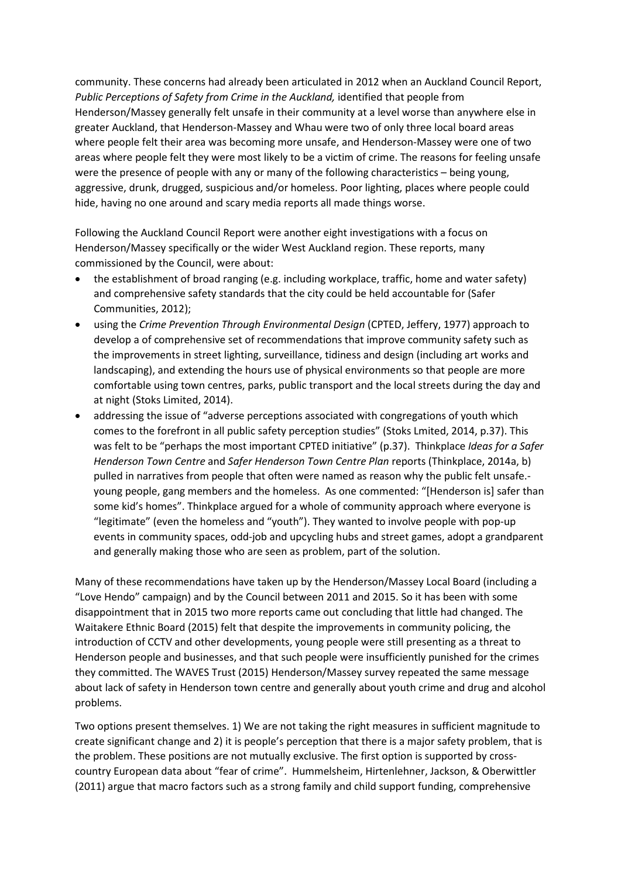community. These concerns had already been articulated in 2012 when an Auckland Council Report, *Public Perceptions of Safety from Crime in the Auckland,* identified that people from Henderson/Massey generally felt unsafe in their community at a level worse than anywhere else in greater Auckland, that Henderson-Massey and Whau were two of only three local board areas where people felt their area was becoming more unsafe, and Henderson-Massey were one of two areas where people felt they were most likely to be a victim of crime. The reasons for feeling unsafe were the presence of people with any or many of the following characteristics – being young, aggressive, drunk, drugged, suspicious and/or homeless. Poor lighting, places where people could hide, having no one around and scary media reports all made things worse.

Following the Auckland Council Report were another eight investigations with a focus on Henderson/Massey specifically or the wider West Auckland region. These reports, many commissioned by the Council, were about:

- the establishment of broad ranging (e.g. including workplace, traffic, home and water safety) and comprehensive safety standards that the city could be held accountable for (Safer Communities, 2012);
- using the *Crime Prevention Through Environmental Design* (CPTED, Jeffery, 1977) approach to develop a of comprehensive set of recommendations that improve community safety such as the improvements in street lighting, surveillance, tidiness and design (including art works and landscaping), and extending the hours use of physical environments so that people are more comfortable using town centres, parks, public transport and the local streets during the day and at night (Stoks Limited, 2014).
- addressing the issue of "adverse perceptions associated with congregations of youth which comes to the forefront in all public safety perception studies" (Stoks Lmited, 2014, p.37). This was felt to be "perhaps the most important CPTED initiative" (p.37). Thinkplace *Ideas for a Safer Henderson Town Centre* and *Safer Henderson Town Centre Plan* reports (Thinkplace, 2014a, b) pulled in narratives from people that often were named as reason why the public felt unsafe. young people, gang members and the homeless. As one commented: "[Henderson is] safer than some kid's homes". Thinkplace argued for a whole of community approach where everyone is "legitimate" (even the homeless and "youth"). They wanted to involve people with pop-up events in community spaces, odd-job and upcycling hubs and street games, adopt a grandparent and generally making those who are seen as problem, part of the solution.

Many of these recommendations have taken up by the Henderson/Massey Local Board (including a "Love Hendo" campaign) and by the Council between 2011 and 2015. So it has been with some disappointment that in 2015 two more reports came out concluding that little had changed. The Waitakere Ethnic Board (2015) felt that despite the improvements in community policing, the introduction of CCTV and other developments, young people were still presenting as a threat to Henderson people and businesses, and that such people were insufficiently punished for the crimes they committed. The WAVES Trust (2015) Henderson/Massey survey repeated the same message about lack of safety in Henderson town centre and generally about youth crime and drug and alcohol problems.

Two options present themselves. 1) We are not taking the right measures in sufficient magnitude to create significant change and 2) it is people's perception that there is a major safety problem, that is the problem. These positions are not mutually exclusive. The first option is supported by crosscountry European data about "fear of crime". Hummelsheim, Hirtenlehner, Jackson, & Oberwittler (2011) argue that macro factors such as a strong family and child support funding, comprehensive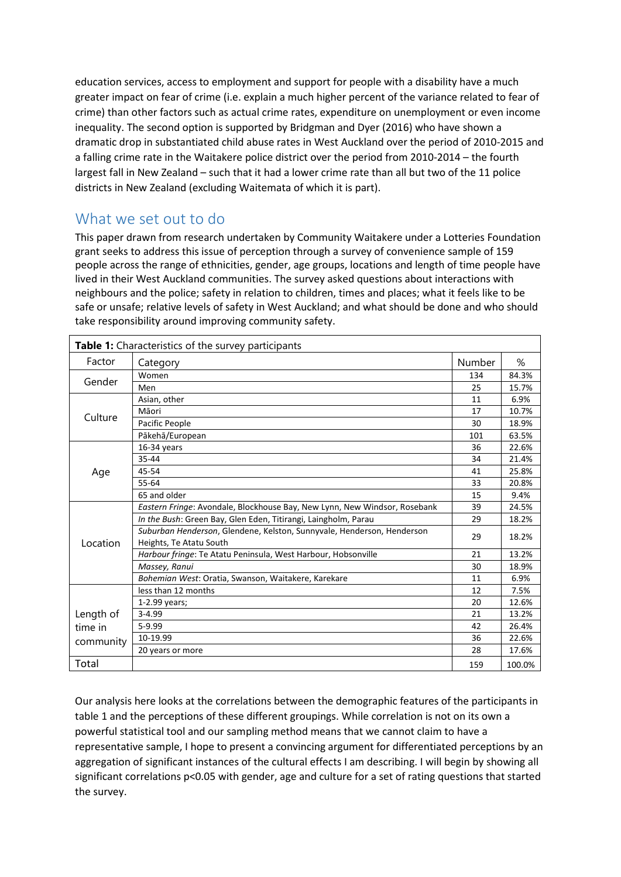education services, access to employment and support for people with a disability have a much greater impact on fear of crime (i.e. explain a much higher percent of the variance related to fear of crime) than other factors such as actual crime rates, expenditure on unemployment or even income inequality. The second option is supported by Bridgman and Dyer (2016) who have shown a dramatic drop in substantiated child abuse rates in West Auckland over the period of 2010-2015 and a falling crime rate in the Waitakere police district over the period from 2010-2014 – the fourth largest fall in New Zealand – such that it had a lower crime rate than all but two of the 11 police districts in New Zealand (excluding Waitemata of which it is part).

### What we set out to do

This paper drawn from research undertaken by Community Waitakere under a Lotteries Foundation grant seeks to address this issue of perception through a survey of convenience sample of 159 people across the range of ethnicities, gender, age groups, locations and length of time people have lived in their West Auckland communities. The survey asked questions about interactions with neighbours and the police; safety in relation to children, times and places; what it feels like to be safe or unsafe; relative levels of safety in West Auckland; and what should be done and who should take responsibility around improving community safety.

| Table 1: Characteristics of the survey participants |                                                                                                   |        |        |  |
|-----------------------------------------------------|---------------------------------------------------------------------------------------------------|--------|--------|--|
| Factor                                              | Category                                                                                          | Number | %      |  |
| Gender                                              | Women                                                                                             | 134    | 84.3%  |  |
|                                                     | Men                                                                                               | 25     | 15.7%  |  |
| Culture                                             | Asian, other                                                                                      | 11     | 6.9%   |  |
|                                                     | Māori                                                                                             | 17     | 10.7%  |  |
|                                                     | Pacific People                                                                                    | 30     | 18.9%  |  |
|                                                     | Pākehā/European                                                                                   | 101    | 63.5%  |  |
| Age                                                 | 16-34 years                                                                                       | 36     | 22.6%  |  |
|                                                     | $35 - 44$                                                                                         | 34     | 21.4%  |  |
|                                                     | 45-54                                                                                             | 41     | 25.8%  |  |
|                                                     | 55-64                                                                                             | 33     | 20.8%  |  |
|                                                     | 65 and older                                                                                      | 15     | 9.4%   |  |
| Location                                            | Eastern Fringe: Avondale, Blockhouse Bay, New Lynn, New Windsor, Rosebank                         | 39     | 24.5%  |  |
|                                                     | In the Bush: Green Bay, Glen Eden, Titirangi, Laingholm, Parau                                    | 29     | 18.2%  |  |
|                                                     | Suburban Henderson, Glendene, Kelston, Sunnyvale, Henderson, Henderson<br>Heights, Te Atatu South | 29     | 18.2%  |  |
|                                                     | Harbour fringe: Te Atatu Peninsula, West Harbour, Hobsonville                                     | 21     | 13.2%  |  |
|                                                     | Massey, Ranui                                                                                     | 30     | 18.9%  |  |
|                                                     | Bohemian West: Oratia, Swanson, Waitakere, Karekare                                               | 11     | 6.9%   |  |
| Length of<br>time in<br>community                   | less than 12 months                                                                               | 12     | 7.5%   |  |
|                                                     | 1-2.99 years;                                                                                     | 20     | 12.6%  |  |
|                                                     | $3 - 4.99$                                                                                        | 21     | 13.2%  |  |
|                                                     | 5-9.99                                                                                            | 42     | 26.4%  |  |
|                                                     | 10-19.99                                                                                          | 36     | 22.6%  |  |
|                                                     | 20 years or more                                                                                  | 28     | 17.6%  |  |
| Total                                               |                                                                                                   | 159    | 100.0% |  |

Our analysis here looks at the correlations between the demographic features of the participants in table 1 and the perceptions of these different groupings. While correlation is not on its own a powerful statistical tool and our sampling method means that we cannot claim to have a representative sample, I hope to present a convincing argument for differentiated perceptions by an aggregation of significant instances of the cultural effects I am describing. I will begin by showing all significant correlations p<0.05 with gender, age and culture for a set of rating questions that started the survey.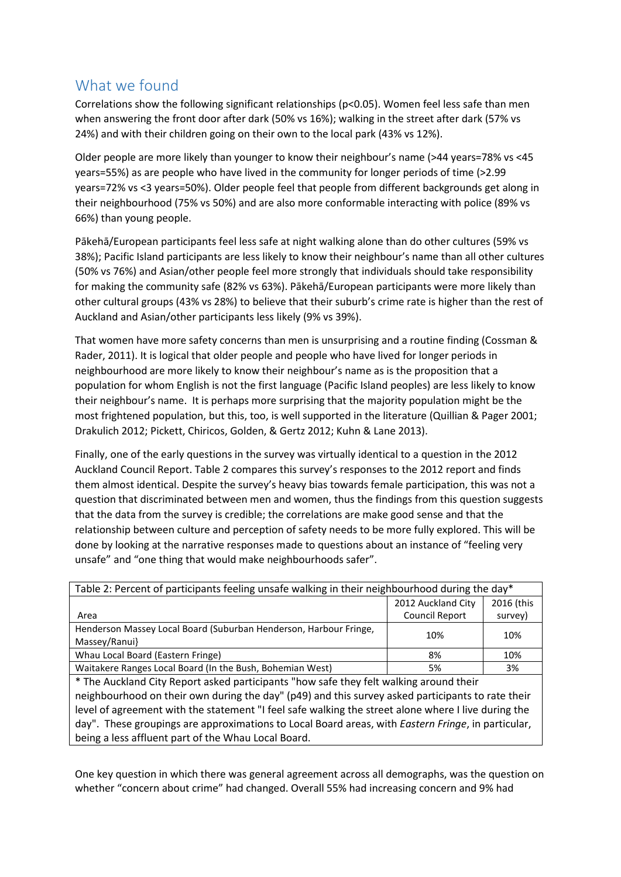## What we found

Correlations show the following significant relationships (p<0.05). Women feel less safe than men when answering the front door after dark (50% vs 16%); walking in the street after dark (57% vs 24%) and with their children going on their own to the local park (43% vs 12%).

Older people are more likely than younger to know their neighbour's name (>44 years=78% vs <45 years=55%) as are people who have lived in the community for longer periods of time (>2.99 years=72% vs <3 years=50%). Older people feel that people from different backgrounds get along in their neighbourhood (75% vs 50%) and are also more conformable interacting with police (89% vs 66%) than young people.

Pākehā/European participants feel less safe at night walking alone than do other cultures (59% vs 38%); Pacific Island participants are less likely to know their neighbour's name than all other cultures (50% vs 76%) and Asian/other people feel more strongly that individuals should take responsibility for making the community safe (82% vs 63%). Pākehā/European participants were more likely than other cultural groups (43% vs 28%) to believe that their suburb's crime rate is higher than the rest of Auckland and Asian/other participants less likely (9% vs 39%).

That women have more safety concerns than men is unsurprising and a routine finding (Cossman & Rader, 2011). It is logical that older people and people who have lived for longer periods in neighbourhood are more likely to know their neighbour's name as is the proposition that a population for whom English is not the first language (Pacific Island peoples) are less likely to know their neighbour's name. It is perhaps more surprising that the majority population might be the most frightened population, but this, too, is well supported in the literature (Quillian & Pager 2001; Drakulich 2012; Pickett, Chiricos, Golden, & Gertz 2012; Kuhn & Lane 2013).

Finally, one of the early questions in the survey was virtually identical to a question in the 2012 Auckland Council Report. Table 2 compares this survey's responses to the 2012 report and finds them almost identical. Despite the survey's heavy bias towards female participation, this was not a question that discriminated between men and women, thus the findings from this question suggests that the data from the survey is credible; the correlations are make good sense and that the relationship between culture and perception of safety needs to be more fully explored. This will be done by looking at the narrative responses made to questions about an instance of "feeling very unsafe" and "one thing that would make neighbourhoods safer".

| Table 2: Percent of participants feeling unsafe walking in their neighbourhood during the day* |                    |            |  |  |
|------------------------------------------------------------------------------------------------|--------------------|------------|--|--|
|                                                                                                | 2012 Auckland City | 2016 (this |  |  |
| Area                                                                                           | Council Report     | survey)    |  |  |
| Henderson Massey Local Board (Suburban Henderson, Harbour Fringe,                              | 10%                | 10%        |  |  |
| Massey/Ranui}                                                                                  |                    |            |  |  |
| Whau Local Board (Eastern Fringe)                                                              | 8%                 | 10%        |  |  |
| Waitakere Ranges Local Board (In the Bush, Bohemian West)                                      | 5%                 | 3%         |  |  |

\* The Auckland City Report asked participants "how safe they felt walking around their neighbourhood on their own during the day" (p49) and this survey asked participants to rate their level of agreement with the statement "I feel safe walking the street alone where I live during the day". These groupings are approximations to Local Board areas, with *Eastern Fringe*, in particular, being a less affluent part of the Whau Local Board.

One key question in which there was general agreement across all demographs, was the question on whether "concern about crime" had changed. Overall 55% had increasing concern and 9% had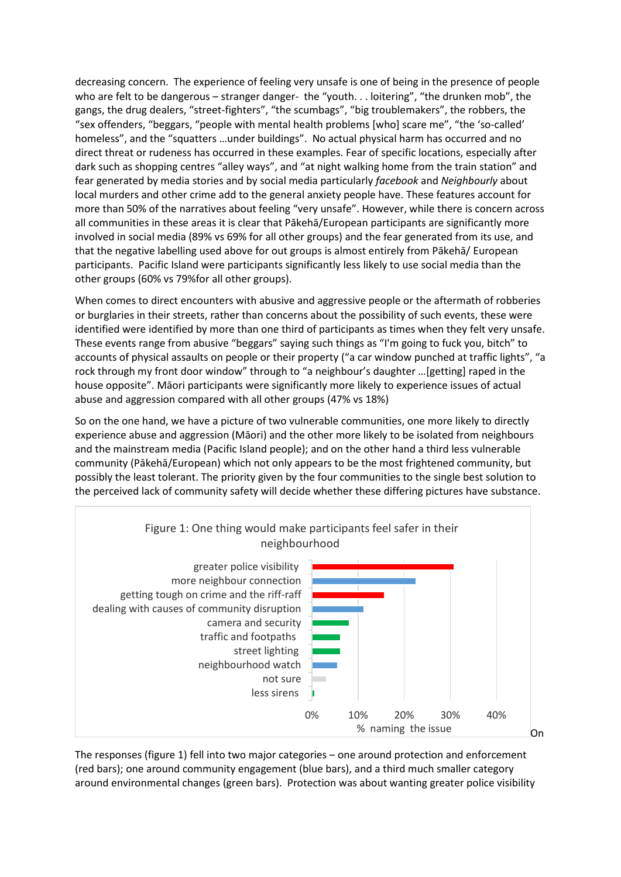decreasing concern. The experience of feeling very unsafe is one of being in the presence of people who are felt to be dangerous – stranger danger- the "youth. . . loitering", "the drunken mob", the gangs, the drug dealers, "street-fighters", "the scumbags", "big troublemakers", the robbers, the "sex offenders, "beggars, "people with mental health problems [who] scare me", "the 'so-called' homeless", and the "squatters ...under buildings". No actual physical harm has occurred and no direct threat or rudeness has occurred in these examples. Fear of specific locations, especially after dark such as shopping centres "alley ways", and "at night walking home from the train station" and fear generated by media stories and by social media particularly *facebook* and *Neighbourly* about local murders and other crime add to the general anxiety people have. These features account for more than 50% of the narratives about feeling "very unsafe". However, while there is concern across all communities in these areas it is clear that Pākehā/European participants are significantly more involved in social media (89% vs 69% for all other groups) and the fear generated from its use, and that the negative labelling used above for out groups is almost entirely from Pākehā/ European participants. Pacific Island were participants significantly less likely to use social media than the other groups (60% vs 79%for all other groups).

When comes to direct encounters with abusive and aggressive people or the aftermath of robberies or burglaries in their streets, rather than concerns about the possibility of such events, these were identified were identified by more than one third of participants as times when they felt very unsafe. These events range from abusive "beggars" saying such things as "I'm going to fuck you, bitch" to accounts of physical assaults on people or their property ("a car window punched at traffic lights", "a rock through my front door window" through to "a neighbour's daughter …[getting] raped in the house opposite". Māori participants were significantly more likely to experience issues of actual abuse and aggression compared with all other groups (47% vs 18%)

So on the one hand, we have a picture of two vulnerable communities, one more likely to directly experience abuse and aggression (Māori) and the other more likely to be isolated from neighbours and the mainstream media (Pacific Island people); and on the other hand a third less vulnerable community (Pākehā/European) which not only appears to be the most frightened community, but possibly the least tolerant. The priority given by the four communities to the single best solution to the perceived lack of community safety will decide whether these differing pictures have substance.



The responses (figure 1) fell into two major categories – one around protection and enforcement (red bars); one around community engagement (blue bars), and a third much smaller category around environmental changes (green bars). Protection was about wanting greater police visibility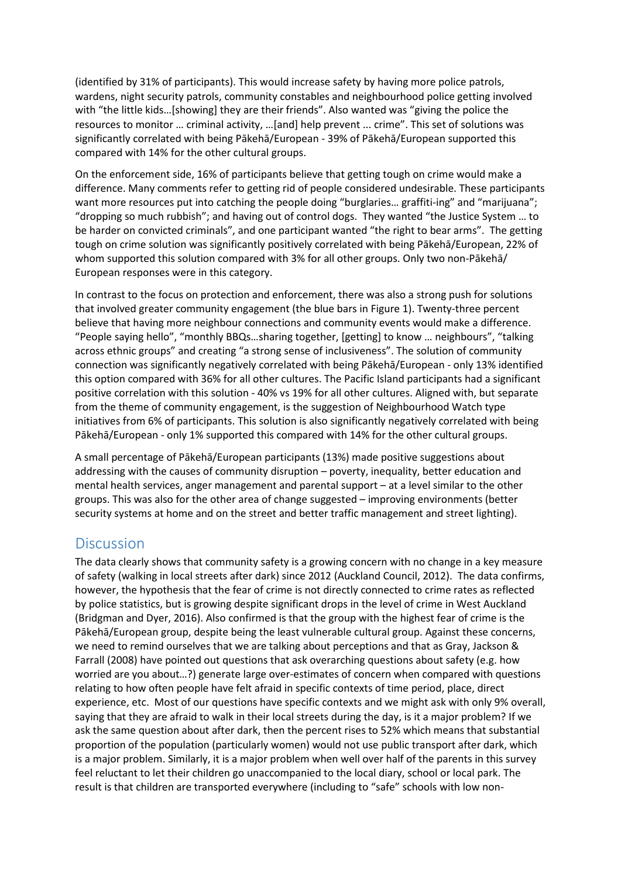(identified by 31% of participants). This would increase safety by having more police patrols, wardens, night security patrols, community constables and neighbourhood police getting involved with "the little kids…[showing] they are their friends". Also wanted was "giving the police the resources to monitor … criminal activity, …[and] help prevent ... crime". This set of solutions was significantly correlated with being Pākehā/European - 39% of Pākehā/European supported this compared with 14% for the other cultural groups.

On the enforcement side, 16% of participants believe that getting tough on crime would make a difference. Many comments refer to getting rid of people considered undesirable. These participants want more resources put into catching the people doing "burglaries... graffiti-ing" and "marijuana"; "dropping so much rubbish"; and having out of control dogs. They wanted "the Justice System … to be harder on convicted criminals", and one participant wanted "the right to bear arms". The getting tough on crime solution was significantly positively correlated with being Pākehā/European, 22% of whom supported this solution compared with 3% for all other groups. Only two non-Pākehā/ European responses were in this category.

In contrast to the focus on protection and enforcement, there was also a strong push for solutions that involved greater community engagement (the blue bars in Figure 1). Twenty-three percent believe that having more neighbour connections and community events would make a difference. "People saying hello", "monthly BBQs…sharing together, [getting] to know … neighbours", "talking across ethnic groups" and creating "a strong sense of inclusiveness". The solution of community connection was significantly negatively correlated with being Pākehā/European - only 13% identified this option compared with 36% for all other cultures. The Pacific Island participants had a significant positive correlation with this solution - 40% vs 19% for all other cultures. Aligned with, but separate from the theme of community engagement, is the suggestion of Neighbourhood Watch type initiatives from 6% of participants. This solution is also significantly negatively correlated with being Pākehā/European - only 1% supported this compared with 14% for the other cultural groups.

A small percentage of Pākehā/European participants (13%) made positive suggestions about addressing with the causes of community disruption – poverty, inequality, better education and mental health services, anger management and parental support – at a level similar to the other groups. This was also for the other area of change suggested – improving environments (better security systems at home and on the street and better traffic management and street lighting).

### **Discussion**

The data clearly shows that community safety is a growing concern with no change in a key measure of safety (walking in local streets after dark) since 2012 (Auckland Council, 2012). The data confirms, however, the hypothesis that the fear of crime is not directly connected to crime rates as reflected by police statistics, but is growing despite significant drops in the level of crime in West Auckland (Bridgman and Dyer, 2016). Also confirmed is that the group with the highest fear of crime is the Pākehā/European group, despite being the least vulnerable cultural group. Against these concerns, we need to remind ourselves that we are talking about perceptions and that as Gray, Jackson & Farrall (2008) have pointed out questions that ask overarching questions about safety (e.g. how worried are you about…?) generate large over-estimates of concern when compared with questions relating to how often people have felt afraid in specific contexts of time period, place, direct experience, etc. Most of our questions have specific contexts and we might ask with only 9% overall, saying that they are afraid to walk in their local streets during the day, is it a major problem? If we ask the same question about after dark, then the percent rises to 52% which means that substantial proportion of the population (particularly women) would not use public transport after dark, which is a major problem. Similarly, it is a major problem when well over half of the parents in this survey feel reluctant to let their children go unaccompanied to the local diary, school or local park. The result is that children are transported everywhere (including to "safe" schools with low non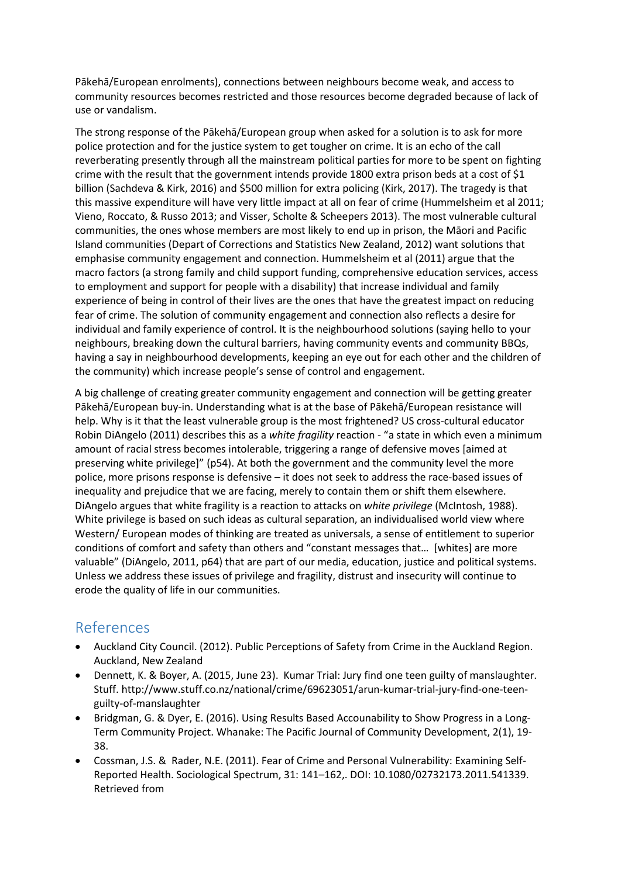Pākehā/European enrolments), connections between neighbours become weak, and access to community resources becomes restricted and those resources become degraded because of lack of use or vandalism.

The strong response of the Pākehā/European group when asked for a solution is to ask for more police protection and for the justice system to get tougher on crime. It is an echo of the call reverberating presently through all the mainstream political parties for more to be spent on fighting crime with the result that the government intends provide 1800 extra prison beds at a cost of \$1 billion (Sachdeva & Kirk, 2016) and \$500 million for extra policing (Kirk, 2017). The tragedy is that this massive expenditure will have very little impact at all on fear of crime (Hummelsheim et al 2011; Vieno, Roccato, & Russo 2013; and Visser, Scholte & Scheepers 2013). The most vulnerable cultural communities, the ones whose members are most likely to end up in prison, the Māori and Pacific Island communities (Depart of Corrections and Statistics New Zealand, 2012) want solutions that emphasise community engagement and connection. Hummelsheim et al (2011) argue that the macro factors (a strong family and child support funding, comprehensive education services, access to employment and support for people with a disability) that increase individual and family experience of being in control of their lives are the ones that have the greatest impact on reducing fear of crime. The solution of community engagement and connection also reflects a desire for individual and family experience of control. It is the neighbourhood solutions (saying hello to your neighbours, breaking down the cultural barriers, having community events and community BBQs, having a say in neighbourhood developments, keeping an eye out for each other and the children of the community) which increase people's sense of control and engagement.

A big challenge of creating greater community engagement and connection will be getting greater Pākehā/European buy-in. Understanding what is at the base of Pākehā/European resistance will help. Why is it that the least vulnerable group is the most frightened? US cross-cultural educator Robin DiAngelo (2011) describes this as a *white fragility* reaction - "a state in which even a minimum amount of racial stress becomes intolerable, triggering a range of defensive moves [aimed at preserving white privilege]" (p54). At both the government and the community level the more police, more prisons response is defensive – it does not seek to address the race-based issues of inequality and prejudice that we are facing, merely to contain them or shift them elsewhere. DiAngelo argues that white fragility is a reaction to attacks on *white privilege* (McIntosh, 1988). White privilege is based on such ideas as cultural separation, an individualised world view where Western/ European modes of thinking are treated as universals, a sense of entitlement to superior conditions of comfort and safety than others and "constant messages that… [whites] are more valuable" (DiAngelo, 2011, p64) that are part of our media, education, justice and political systems. Unless we address these issues of privilege and fragility, distrust and insecurity will continue to erode the quality of life in our communities.

### References

- Auckland City Council. (2012). Public Perceptions of Safety from Crime in the Auckland Region. Auckland, New Zealand
- Dennett, K. & Boyer, A. (2015, June 23). Kumar Trial: Jury find one teen guilty of manslaughter. Stuff. http://www.stuff.co.nz/national/crime/69623051/arun-kumar-trial-jury-find-one-teenguilty-of-manslaughter
- Bridgman, G. & Dyer, E. (2016). Using Results Based Accounability to Show Progress in a Long-Term Community Project. Whanake: The Pacific Journal of Community Development, 2(1), 19- 38.
- Cossman, J.S. & Rader, N.E. (2011). Fear of Crime and Personal Vulnerability: Examining Self-Reported Health. Sociological Spectrum, 31: 141–162,. DOI: 10.1080/02732173.2011.541339. Retrieved from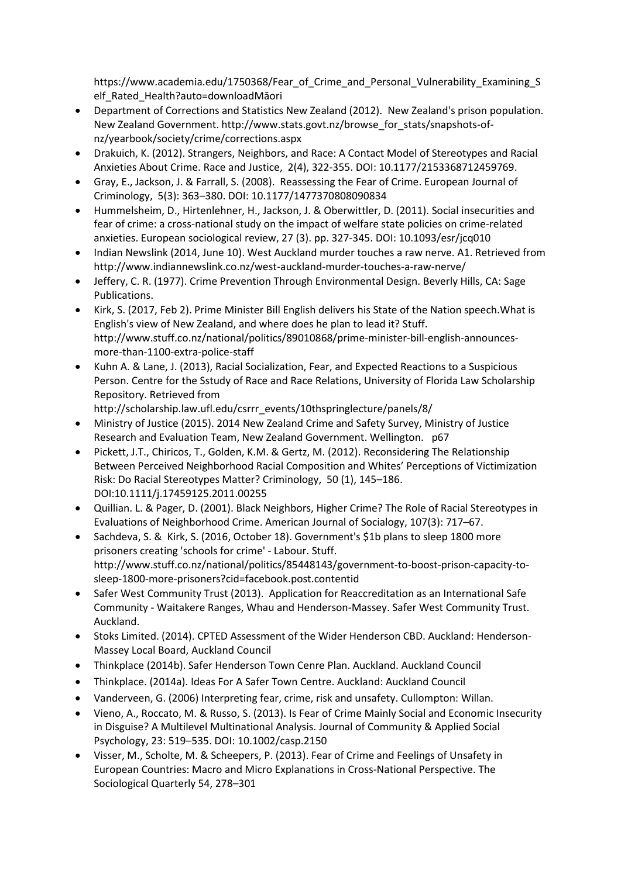https://www.academia.edu/1750368/Fear\_of\_Crime\_and\_Personal\_Vulnerability\_Examining\_S elf\_Rated\_Health?auto=downloadMāori

- Department of Corrections and Statistics New Zealand (2012). New Zealand's prison population. New Zealand Government. http://www.stats.govt.nz/browse\_for\_stats/snapshots-ofnz/yearbook/society/crime/corrections.aspx
- Drakuich, K. (2012). Strangers, Neighbors, and Race: A Contact Model of Stereotypes and Racial Anxieties About Crime. Race and Justice, 2(4), 322-355. DOI: 10.1177/2153368712459769.
- Gray, E., Jackson, J. & Farrall, S. (2008). Reassessing the Fear of Crime. European Journal of Criminology, 5(3): 363–380. DOI: 10.1177/1477370808090834
- Hummelsheim, D., Hirtenlehner, H., Jackson, J. & Oberwittler, D. (2011). Social insecurities and fear of crime: a cross-national study on the impact of welfare state policies on crime-related anxieties. European sociological review, 27 (3). pp. 327-345. DOI: 10.1093/esr/jcq010
- Indian Newslink (2014, June 10). West Auckland murder touches a raw nerve. A1. Retrieved from http://www.indiannewslink.co.nz/west-auckland-murder-touches-a-raw-nerve/
- Jeffery, C. R. (1977). Crime Prevention Through Environmental Design. Beverly Hills, CA: Sage Publications.
- Kirk, S. (2017, Feb 2). Prime Minister Bill English delivers his State of the Nation speech.What is English's view of New Zealand, and where does he plan to lead it? Stuff. http://www.stuff.co.nz/national/politics/89010868/prime-minister-bill-english-announcesmore-than-1100-extra-police-staff
- Kuhn A. & Lane, J. (2013), Racial Socialization, Fear, and Expected Reactions to a Suspicious Person. Centre for the Sstudy of Race and Race Relations, University of Florida Law Scholarship Repository. Retrieved from

http://scholarship.law.ufl.edu/csrrr\_events/10thspringlecture/panels/8/

- Ministry of Justice (2015). 2014 New Zealand Crime and Safety Survey, Ministry of Justice Research and Evaluation Team, New Zealand Government. Wellington. p67
- Pickett, J.T., Chiricos, T., Golden, K.M. & Gertz, M. (2012). Reconsidering The Relationship Between Perceived Neighborhood Racial Composition and Whites' Perceptions of Victimization Risk: Do Racial Stereotypes Matter? Criminology, 50 (1), 145–186. DOI:10.1111/j.17459125.2011.00255
- Quillian. L. & Pager, D. (2001). Black Neighbors, Higher Crime? The Role of Racial Stereotypes in Evaluations of Neighborhood Crime. American Journal of Socialogy, 107(3): 717–67.
- Sachdeva, S. & Kirk, S. (2016, October 18). Government's \$1b plans to sleep 1800 more prisoners creating 'schools for crime' - Labour. Stuff. http://www.stuff.co.nz/national/politics/85448143/government-to-boost-prison-capacity-tosleep-1800-more-prisoners?cid=facebook.post.contentid
- Safer West Community Trust (2013). Application for Reaccreditation as an International Safe Community - Waitakere Ranges, Whau and Henderson-Massey. Safer West Community Trust. Auckland.
- Stoks Limited. (2014). CPTED Assessment of the Wider Henderson CBD. Auckland: Henderson-Massey Local Board, Auckland Council
- Thinkplace (2014b). Safer Henderson Town Cenre Plan. Auckland. Auckland Council
- Thinkplace. (2014a). Ideas For A Safer Town Centre. Auckland: Auckland Council
- Vanderveen, G. (2006) Interpreting fear, crime, risk and unsafety. Cullompton: Willan.
- Vieno, A., Roccato, M. & Russo, S. (2013). Is Fear of Crime Mainly Social and Economic Insecurity in Disguise? A Multilevel Multinational Analysis. Journal of Community & Applied Social Psychology, 23: 519–535. DOI: 10.1002/casp.2150
- Visser, M., Scholte, M. & Scheepers, P. (2013). Fear of Crime and Feelings of Unsafety in European Countries: Macro and Micro Explanations in Cross-National Perspective. The Sociological Quarterly 54, 278–301